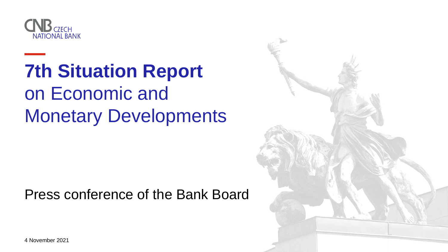4 November 2021







# **7th Situation Report** on Economic and Monetary Developments

#### Press conference of the Bank Board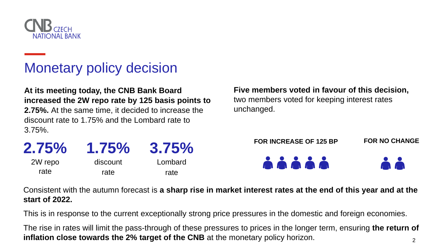

### Monetary policy decision

**At its meeting today, the CNB Bank Board increased the 2W repo rate by 125 basis points to 2.75%.** At the same time, it decided to increase the discount rate to 1.75% and the Lombard rate to 3.75%.

| 2.75%   | 1.75%    | 3.75%   |
|---------|----------|---------|
| 2W repo | discount | Lombard |
| rate    | rate     | rate    |

#### Consistent with the autumn forecast is **a sharp rise in market interest rates at the end of this year and at the**

**start of 2022.**

2 The rise in rates will limit the pass-through of these pressures to prices in the longer term, ensuring **the return of inflation close towards the 2% target of the CNB** at the monetary policy horizon.

This is in response to the current exceptionally strong price pressures in the domestic and foreign economies.



#### **Five members voted in favour of this decision,** two members voted for keeping interest rates unchanged.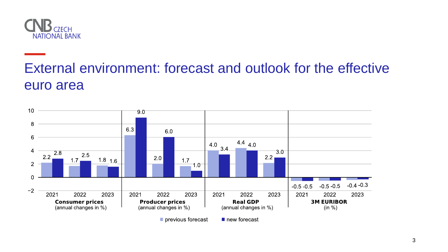

#### External environment: forecast and outlook for the effective euro area



previous forecast

new forecast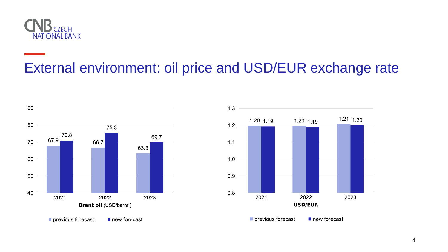

## External environment: oil price and USD/EUR exchange rate



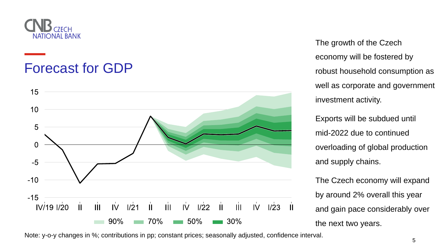

#### Forecast for GDP



The growth of the Czech economy will be fostered by robust household consumption as well as corporate and government investment activity.

Exports will be subdued until mid-2022 due to continued overloading of global production and supply chains.

The Czech economy will expand by around 2% overall this year and gain pace considerably over the next two years.







Note: y-o-y changes in %; contributions in pp; constant prices; seasonally adjusted, confidence interval.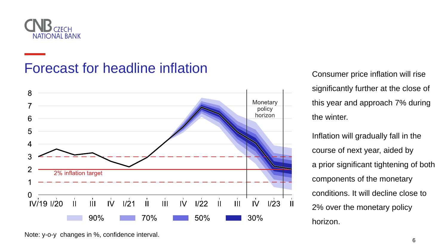

## Forecast for headline inflation<br>
Consumer price inflation will rise



significantly further at the close of this year and approach 7% during the winter.

Inflation will gradually fall in the course of next year, aided by a prior significant tightening of both components of the monetary conditions. It will decline close to 2% over the monetary policy horizon.







Note: y-o-y changes in %, confidence interval.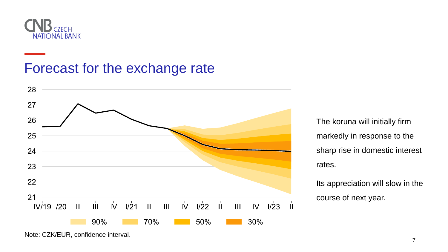

#### Forecast for the exchange rate

The koruna will initially firm markedly in response to the sharp rise in domestic interest rates.

Its appreciation will slow in the course of next year.



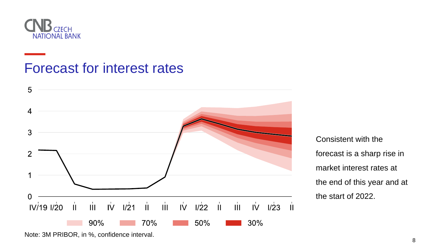

#### Forecast for interest rates

Consistent with the forecast is a sharp rise in market interest rates at the end of this year and at the start of 2022.



$$
\begin{array}{ccc}\n\stackrel{\cdot}{\mathsf{II}} & \stackrel{\cdot}{\mathsf{III}} & \stackrel{\cdot}{\mathsf{IV}} & \stackrel{\cdot}{\mathsf{II}} \\
\hline\n&30\%\n\end{array}
$$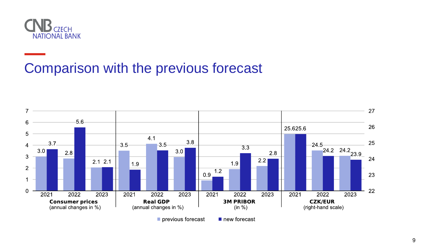

### Comparison with the previous forecast



previous forecast

new forecast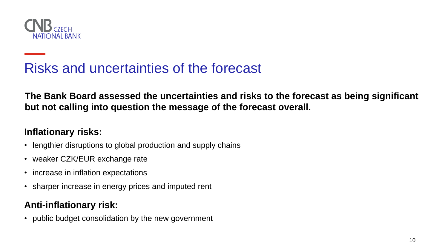![](_page_9_Picture_0.jpeg)

## Risks and uncertainties of the forecast

**The Bank Board assessed the uncertainties and risks to the forecast as being significant**

# **but not calling into question the message of the forecast overall.**

- lengthier disruptions to global production and supply chains
- weaker CZK/EUR exchange rate
- increase in inflation expectations
- sharper increase in energy prices and imputed rent

#### **Inflationary risks:**

#### **Anti-inflationary risk:**

• public budget consolidation by the new government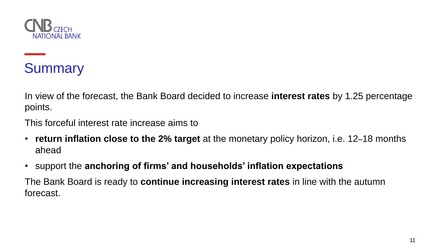![](_page_10_Picture_0.jpeg)

## Summary

In view of the forecast, the Bank Board decided to increase **interest rates** by 1.25 percentage

points.

This forceful interest rate increase aims to

- **return inflation close to the 2% target** at the monetary policy horizon, i.e. 12–18 months ahead
- support the **anchoring of firms' and households' inflation expectations** The Bank Board is ready to **continue increasing interest rates** in line with the autumn forecast.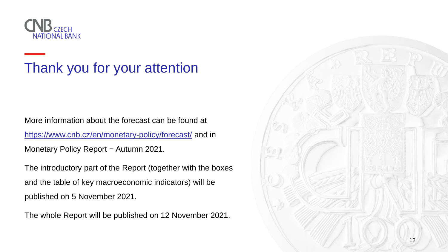![](_page_11_Picture_0.jpeg)

## Thank you for your attention

More information about the forecast can be found at <https://www.cnb.cz/en/monetary-policy/forecast/> and in Monetary Policy Report − Autumn 2021.

The introductory part of the Report (together with the boxes and the table of key macroeconomic indicators) will be published on 5 November 2021.

The whole Report will be published on 12 November 2021.

![](_page_11_Picture_5.jpeg)

![](_page_11_Picture_6.jpeg)